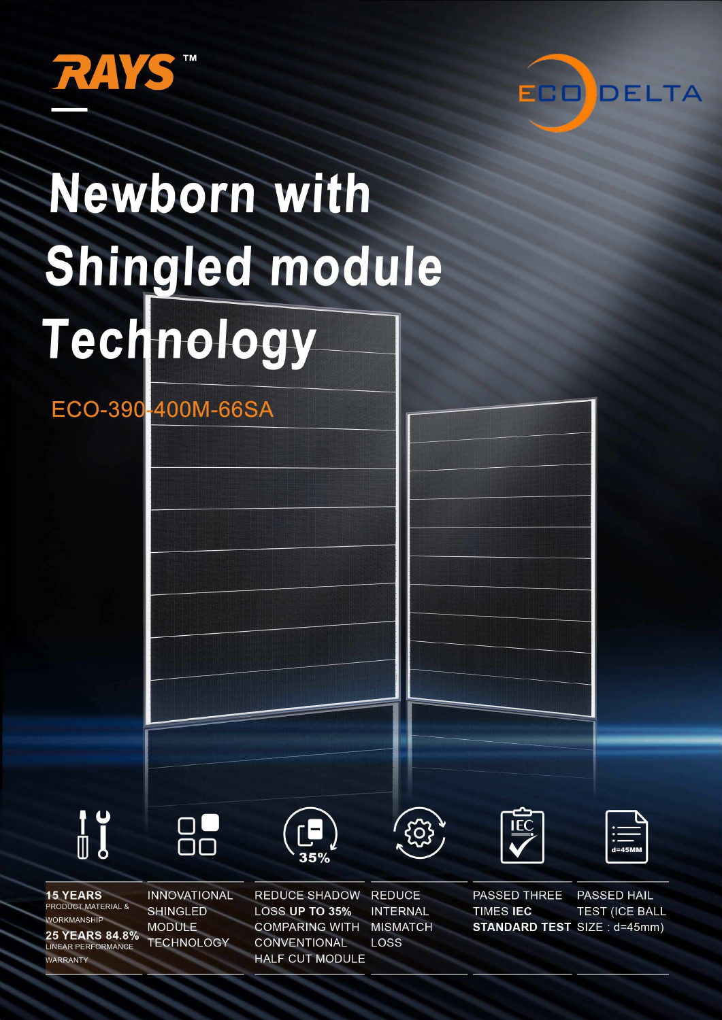



# Newborn with Shingled module Technology

ECO-390-400M-66SA



**15 YEARS** 

WORKMANSHIP

**WARRANTY** 

**PRODUCT MATERIAL &** 

**25 YEARS 84.8%** 

LINEAR PERFORMANCE





**REDUCE SHADOW LOSS UP TO 35% COMPARING WITH CONVENTIONAL HALF CUT MODULE** 

**REDUCE INTERNAL MISMATCH** LOSS

 $\bf \ddot{o}$ 





**PASSED THREE** PASSED HAIL **TIMES IEC TEST (ICE BALL STANDARD TEST SIZE: d=45mm)**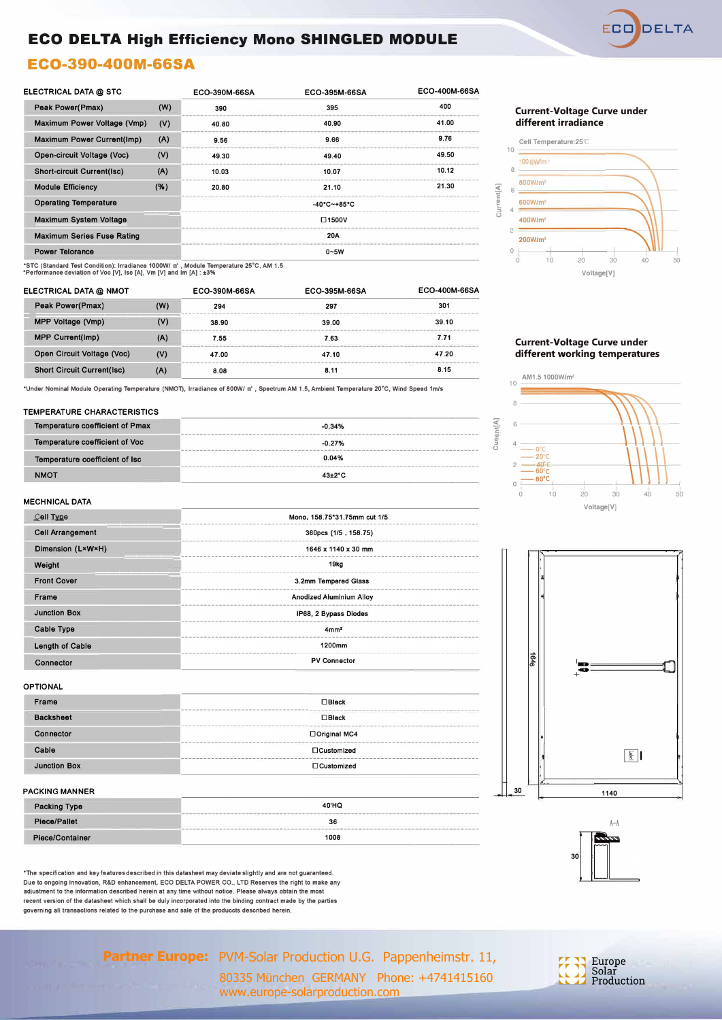

## **ECO DELTA High Efficiency Mono SHINGLED MODULE**

## **ECO-390-400M-66SA**

| ELECTRICAL DATA @ STC                            |      | ECO-390M-66SA   | ECO-395M-66SA                    | ECO-400M-66SA |  |  |  |
|--------------------------------------------------|------|-----------------|----------------------------------|---------------|--|--|--|
| Peak Power(Pmax)<br>(W)                          |      | 390             | 395                              | 400           |  |  |  |
| Maximum Power Voltage (Vmp)<br>(V)               |      | 40.80           | 40.90                            | 41.00         |  |  |  |
| <b>Maximum Power Current(Imp)</b>                | (A)  |                 | 9.66                             | 9.76          |  |  |  |
| Open-circuit Voltage (Voc)                       | (V)  | 49.30           | 49.40                            | 49.50         |  |  |  |
| <b>Short-circuit Current(Isc)</b>                | (A)  | 10.03           | 10.07                            | 10.12         |  |  |  |
| <b>Module Efficiency</b>                         | ( %) | 20.80           | 21.10                            | 21.30         |  |  |  |
| <b>Operating Temperature</b>                     |      |                 | $-40^{\circ}$ C $-+85^{\circ}$ C |               |  |  |  |
| <b>Maximum System Voltage</b><br>$\square$ 1500V |      |                 |                                  |               |  |  |  |
| <b>Maximum Series Fuse Rating</b>                |      | 20A             |                                  |               |  |  |  |
| <b>Power Telorance</b>                           |      | $0\nthicksim5W$ |                                  |               |  |  |  |

**•src (Standard Test Condition): lrradiance 1000W/ m' , Module Temperature 25°C, AM 1.5 \*Performance deviation of Voc [V], Ise [AJ, Vm [V] and lm [AJ : ±3%** 

| ELECTRICAL DATA @ NMOT                   |     | ECO-390M-66SA | ECO-395M-66SA | ECO-400M-66SA |  |
|------------------------------------------|-----|---------------|---------------|---------------|--|
| <b>Peak Power(Pmax)</b><br>(W)           |     | 297<br>294    |               | 301           |  |
| MPP Voltage (Vmp)                        | (V) | 38.90         | 39.00         | 39.10         |  |
| <b>MPP Current(Imp)</b>                  | (A) | 7.55          | 7.63          | 7.71          |  |
| Open Circuit Voltage (Voc)<br>(V)        |     | 47.00         | 47.10         | 47.20         |  |
| <b>Short Circuit Current(Isc)</b><br>(A) |     | 8.08          | 8.11          | 8.15          |  |

**\*Under Nominal Module Operating Temperature (NMOT), lrradiance of 800W/ m' , Spectrum AM 1.5, Ambient Temperature 20°c, Wind Speed 1m/s** 

#### **TEMPERATURE CHARACTERISTICS**

| <b>Temperature coefficient of Pmax</b> | $-0.34%$          |
|----------------------------------------|-------------------|
| <b>Temperature coefficient of Voc</b>  | $-0.27%$          |
| Temperature coefficient of Isc         | 0.04%             |
| <b>NMOT</b>                            | $43\pm2\degree$ C |

#### **Current-Voltage Curve under different irradiance**



#### **Current-Voltage Curve under different working temperatures**



**�**  i

i

티 t

"'

I

 $\begin{bmatrix} \mathbf{c} \ \mathbf{s} \end{bmatrix}$ 

 $\frac{1}{2}$ 

♦

**30** 

#### **MECHNICAL DATA**

| Cell Type               | Mono, 158.75*31.75mm cut 1/5    |  |  |  |  |
|-------------------------|---------------------------------|--|--|--|--|
| <b>Cell Arrangement</b> | 360pcs (1/5, 158.75)            |  |  |  |  |
| Dimension (LxWxH)       | 1646 x 1140 x 30 mm             |  |  |  |  |
| Weight                  | 19kg                            |  |  |  |  |
| <b>Front Cover</b>      | 3.2mm Tempered Glass            |  |  |  |  |
| Frame                   | <b>Anodized Aluminium Alloy</b> |  |  |  |  |
| <b>Junction Box</b>     | IP68, 2 Bypass Diodes           |  |  |  |  |
| Cable Type              | 4mm <sup>2</sup>                |  |  |  |  |
| <b>Length of Cable</b>  | 1200mm                          |  |  |  |  |
| Connector               | <b>PV Connector</b>             |  |  |  |  |

#### **OPTIONAL**

| Frame               | $\Box$ Black                                                                                                   |  |  |  |
|---------------------|----------------------------------------------------------------------------------------------------------------|--|--|--|
| <b>Backsheet</b>    | the contract of the company of the contract of the contract of the contract of the contract of<br>$\Box$ Black |  |  |  |
| Connector           | □ Original MC4                                                                                                 |  |  |  |
| Cable               | $\Box$ Customized                                                                                              |  |  |  |
| <b>Junction Box</b> | □Customized                                                                                                    |  |  |  |
|                     |                                                                                                                |  |  |  |

#### **PACKING MANNER**

| Packing Type    | 40'HQ<br>interest and a standard constant of a standard contact and analysis to a state of a standard contact and a constant and a standard constant and a standard constant and |  |  |
|-----------------|----------------------------------------------------------------------------------------------------------------------------------------------------------------------------------|--|--|
| Piece/Pallet    | 36                                                                                                                                                                               |  |  |
| Piece/Container | 1008                                                                                                                                                                             |  |  |

**\*The specification and key features described in this datasheet may deviate slightly and are not guaranteed. Due to ongoing innovation, R&D enhancement, ECO DELTA POWER CO., LTD Reserves the right to make any adjustment to the information described herein at any time without notice. Please always obtain the most recent version of the datasheet which shall be duly incorporated into the binding contract made by the parties governing all transactions related to the purchase and sale of the produccts described herein.** 



Partner Europe: PVM-Solar Production U.G. Pappenheimstr. 11, 80335 München GERMANY Phone: +4741415160

www.europe-solarproduction.com

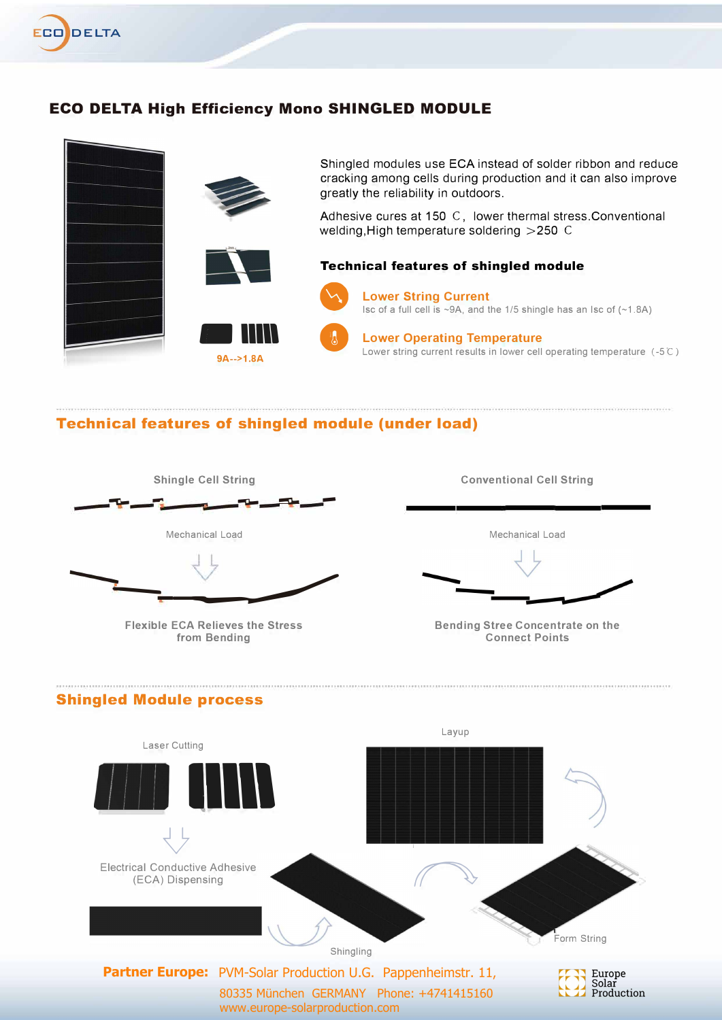

## **ECO DELTA High Efficiency Mono SHINGLED MODULE**



## **Technical features of shingled module (under load)**





**Flexible ECA Relieves the Stress from Bending** 

**Conventional Cell String** 

Meehanieal Load

**Bending Stree Concentrate on the Connect Points** 

#### **Shingled Module process**